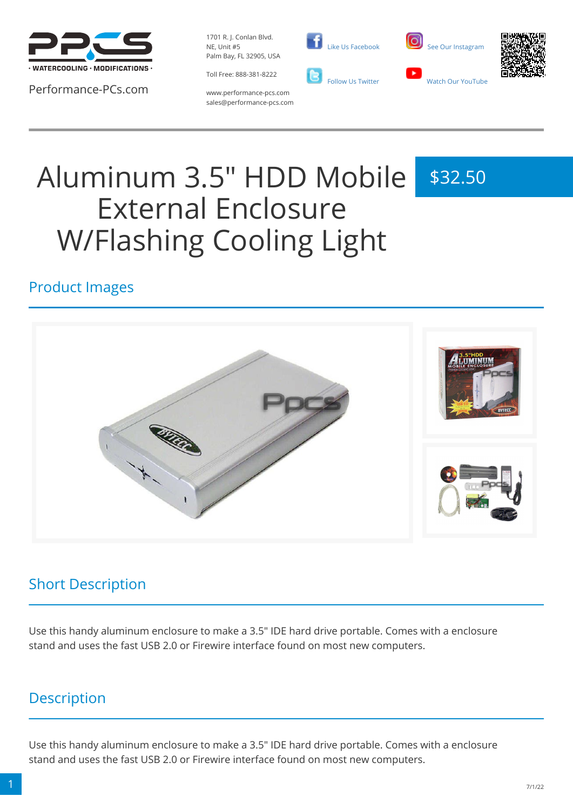

Performance-PCs.com

1701 R. J. Conlan Blvd. NE, Unit #5 Palm Bay, FL 32905, USA

Toll Free: 888-381-8222







www.performance-pcs.com sales@performance-pcs.com

# Aluminum 3.5" HDD Mobile External Enclosure W/Flashing Cooling Light \$32.50

### Product Images



### Short Description

Use this handy aluminum enclosure to make a 3.5" IDE hard drive portable. Comes with a enclosure stand and uses the fast USB 2.0 or Firewire interface found on most new computers.

### **Description**

Use this handy aluminum enclosure to make a 3.5" IDE hard drive portable. Comes with a enclosure stand and uses the fast USB 2.0 or Firewire interface found on most new computers.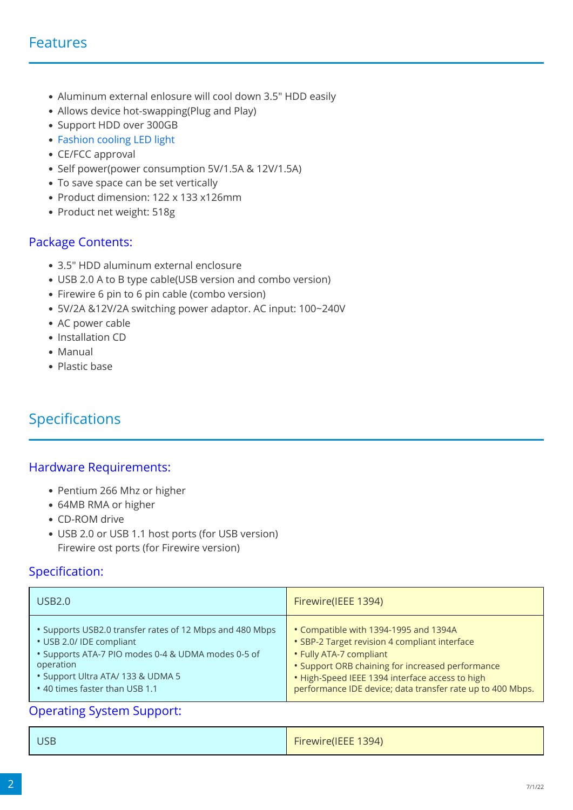#### Features

- Aluminum external enlosure will cool down 3.5" HDD easily
- Allows device hot-swapping(Plug and Play)
- Support HDD over 300GB
- Fashion cooling LED light
- CE/FCC approval
- Self power(power consumption 5V/1.5A & 12V/1.5A)
- To save space can be set vertically
- Product dimension: 122 x 133 x126mm
- Product net weight: 518g

#### Package Contents:

- 3.5" HDD aluminum external enclosure
- USB 2.0 A to B type cable(USB version and combo version)
- Firewire 6 pin to 6 pin cable (combo version)
- 5V/2A &12V/2A switching power adaptor. AC input: 100~240V
- AC power cable
- Installation CD
- Manual
- Plastic base

### Specifications

#### Hardware Requirements:

- Pentium 266 Mhz or higher
- 64MB RMA or higher
- CD-ROM drive
- USB 2.0 or USB 1.1 host ports (for USB version) Firewire ost ports (for Firewire version)

#### Specification:

| USB2.0                                                   | Firewire(IEEE 1394)                                        |
|----------------------------------------------------------|------------------------------------------------------------|
| • Supports USB2.0 transfer rates of 12 Mbps and 480 Mbps | • Compatible with 1394-1995 and 1394A                      |
| • USB 2.0/ IDE compliant                                 | • SBP-2 Target revision 4 compliant interface              |
| • Supports ATA-7 PIO modes 0-4 & UDMA modes 0-5 of       | • Fully ATA-7 compliant                                    |
| operation                                                | • Support ORB chaining for increased performance           |
| • Support Ultra ATA/ 133 & UDMA 5                        | • High-Speed IEEE 1394 interface access to high            |
| • 40 times faster than USB 1.1                           | performance IDE device; data transfer rate up to 400 Mbps. |

#### Operating System Support:

| <b>USB</b> | Firewire(IEEE 1394) |
|------------|---------------------|
|            |                     |